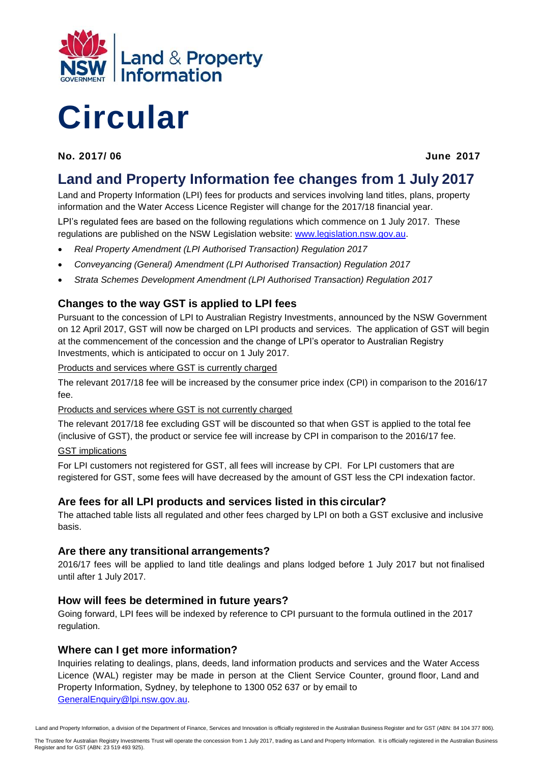

# **Circular**

**No. 2017/ 06 June 2017**

## **Land and Property Information fee changes from 1 July 2017**

Land and Property Information (LPI) fees for products and services involving land titles, plans, property information and the Water Access Licence Register will change for the 2017/18 financial year.

LPI's regulated fees are based on the following regulations which commence on 1 July 2017. These regulations are published on the NSW Legislation website: [www.legislation.nsw.gov.au.](http://www.legislation.nsw.gov.au/)

- *Real Property Amendment (LPI Authorised Transaction) Regulation 2017*
- *Conveyancing (General) Amendment (LPI Authorised Transaction) Regulation 2017*
- *Strata Schemes Development Amendment (LPI Authorised Transaction) Regulation 2017*

### **Changes to the way GST is applied to LPI fees**

Pursuant to the concession of LPI to Australian Registry Investments, announced by the NSW Government on 12 April 2017, GST will now be charged on LPI products and services. The application of GST will begin at the commencement of the concession and the change of LPI's operator to Australian Registry Investments, which is anticipated to occur on 1 July 2017.

Products and services where GST is currently charged

The relevant 2017/18 fee will be increased by the consumer price index (CPI) in comparison to the 2016/17 fee.

Products and services where GST is not currently charged

The relevant 2017/18 fee excluding GST will be discounted so that when GST is applied to the total fee (inclusive of GST), the product or service fee will increase by CPI in comparison to the 2016/17 fee. GST implications

For LPI customers not registered for GST, all fees will increase by CPI. For LPI customers that are registered for GST, some fees will have decreased by the amount of GST less the CPI indexation factor.

#### **Are fees for all LPI products and services listed in this circular?**

The attached table lists all regulated and other fees charged by LPI on both a GST exclusive and inclusive basis.

#### **Are there any transitional arrangements?**

2016/17 fees will be applied to land title dealings and plans lodged before 1 July 2017 but not finalised until after 1 July 2017.

#### **How will fees be determined in future years?**

Going forward, LPI fees will be indexed by reference to CPI pursuant to the formula outlined in the 2017 regulation.

#### **Where can I get more information?**

Inquiries relating to dealings, plans, deeds, land information products and services and the Water Access Licence (WAL) register may be made in person at the Client Service Counter, ground floor, Land and Property Information, Sydney, by telephone to 1300 052 637 or by email to [GeneralEnquiry@lpi.nsw.gov.au.](mailto:GeneralEnquiry@lpi.nsw.gov.au)

Land and Property Information, a division of the Department of Finance, Services and Innovation is officially registered in the Australian Business Register and for GST (ABN: 84 104 377 806).

The Trustee for Australian Registry Investments Trust will operate the concession from 1 July 2017, trading as Land and Property Information. It is officially registered in the Australian Business Register and for GST (ABN: 23 519 493 925).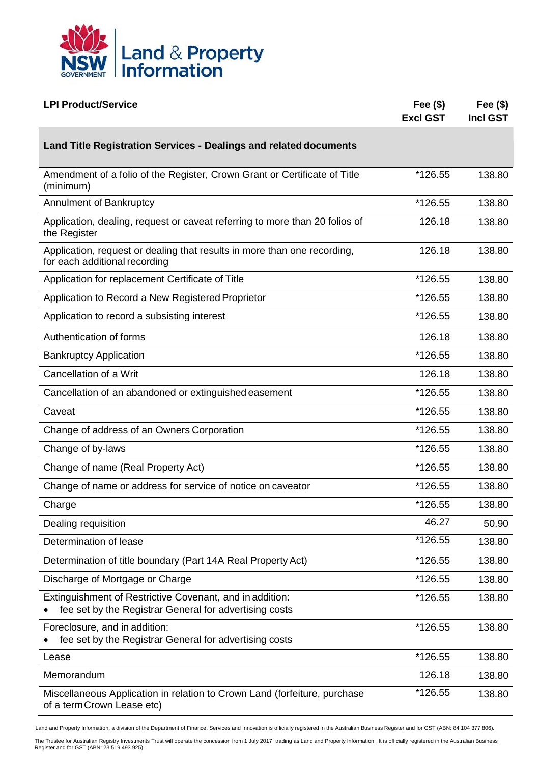

| <b>LPI Product/Service</b>                                                                                         | Fee $($)$<br><b>Excl GST</b> | Fee $(\$)$<br><b>Incl GST</b> |
|--------------------------------------------------------------------------------------------------------------------|------------------------------|-------------------------------|
| Land Title Registration Services - Dealings and related documents                                                  |                              |                               |
| Amendment of a folio of the Register, Crown Grant or Certificate of Title<br>(minimum)                             | *126.55                      | 138.80                        |
| Annulment of Bankruptcy                                                                                            | *126.55                      | 138.80                        |
| Application, dealing, request or caveat referring to more than 20 folios of<br>the Register                        | 126.18                       | 138.80                        |
| Application, request or dealing that results in more than one recording,<br>for each additional recording          | 126.18                       | 138.80                        |
| Application for replacement Certificate of Title                                                                   | *126.55                      | 138.80                        |
| Application to Record a New Registered Proprietor                                                                  | *126.55                      | 138.80                        |
| Application to record a subsisting interest                                                                        | *126.55                      | 138.80                        |
| Authentication of forms                                                                                            | 126.18                       | 138.80                        |
| <b>Bankruptcy Application</b>                                                                                      | *126.55                      | 138.80                        |
| Cancellation of a Writ                                                                                             | 126.18                       | 138.80                        |
| Cancellation of an abandoned or extinguished easement                                                              | *126.55                      | 138.80                        |
| Caveat                                                                                                             | *126.55                      | 138.80                        |
| Change of address of an Owners Corporation                                                                         | *126.55                      | 138.80                        |
| Change of by-laws                                                                                                  | *126.55                      | 138.80                        |
| Change of name (Real Property Act)                                                                                 | *126.55                      | 138.80                        |
| Change of name or address for service of notice on caveator                                                        | *126.55                      | 138.80                        |
| Charge                                                                                                             | *126.55                      | 138.80                        |
| Dealing requisition                                                                                                | 46.27                        | 50.90                         |
| Determination of lease                                                                                             | *126.55                      | 138.80                        |
| Determination of title boundary (Part 14A Real Property Act)                                                       | *126.55                      | 138.80                        |
| Discharge of Mortgage or Charge                                                                                    | *126.55                      | 138.80                        |
| Extinguishment of Restrictive Covenant, and in addition:<br>fee set by the Registrar General for advertising costs | *126.55                      | 138.80                        |
| Foreclosure, and in addition:<br>fee set by the Registrar General for advertising costs                            | *126.55                      | 138.80                        |
| Lease                                                                                                              | *126.55                      | 138.80                        |
| Memorandum                                                                                                         | 126.18                       | 138.80                        |
| Miscellaneous Application in relation to Crown Land (forfeiture, purchase<br>of a term Crown Lease etc)            | *126.55                      | 138.80                        |

The Trustee for Australian Registry Investments Trust will operate the concession from 1 July 2017, trading as Land and Property Information. It is officially registered in the Australian Business<br>Register and for GST (ABN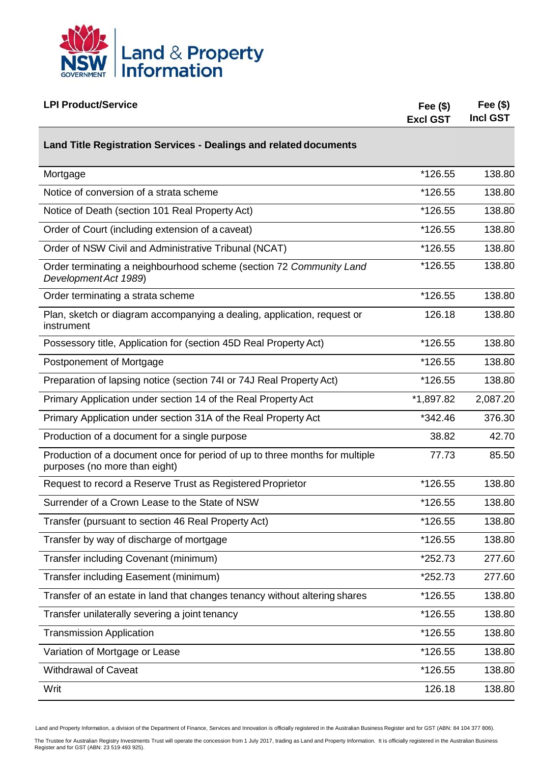

| <b>LPI Product/Service</b>                                                                                   | Fee $(\$)$<br><b>Excl GST</b> | Fee $($)$<br><b>Incl GST</b> |
|--------------------------------------------------------------------------------------------------------------|-------------------------------|------------------------------|
| Land Title Registration Services - Dealings and related documents                                            |                               |                              |
| Mortgage                                                                                                     | *126.55                       | 138.80                       |
| Notice of conversion of a strata scheme                                                                      | *126.55                       | 138.80                       |
| Notice of Death (section 101 Real Property Act)                                                              | *126.55                       | 138.80                       |
| Order of Court (including extension of a caveat)                                                             | *126.55                       | 138.80                       |
| Order of NSW Civil and Administrative Tribunal (NCAT)                                                        | *126.55                       | 138.80                       |
| Order terminating a neighbourhood scheme (section 72 Community Land<br>Development Act 1989)                 | *126.55                       | 138.80                       |
| Order terminating a strata scheme                                                                            | *126.55                       | 138.80                       |
| Plan, sketch or diagram accompanying a dealing, application, request or<br>instrument                        | 126.18                        | 138.80                       |
| Possessory title, Application for (section 45D Real Property Act)                                            | *126.55                       | 138.80                       |
| Postponement of Mortgage                                                                                     | *126.55                       | 138.80                       |
| Preparation of lapsing notice (section 74I or 74J Real Property Act)                                         | *126.55                       | 138.80                       |
| Primary Application under section 14 of the Real Property Act                                                | *1,897.82                     | 2,087.20                     |
| Primary Application under section 31A of the Real Property Act                                               | *342.46                       | 376.30                       |
| Production of a document for a single purpose                                                                | 38.82                         | 42.70                        |
| Production of a document once for period of up to three months for multiple<br>purposes (no more than eight) | 77.73                         | 85.50                        |
| Request to record a Reserve Trust as Registered Proprietor                                                   | *126.55                       | 138.80                       |
| Surrender of a Crown Lease to the State of NSW                                                               | *126.55                       | 138.80                       |
| Transfer (pursuant to section 46 Real Property Act)                                                          | *126.55                       | 138.80                       |
| Transfer by way of discharge of mortgage                                                                     | *126.55                       | 138.80                       |
| Transfer including Covenant (minimum)                                                                        | *252.73                       | 277.60                       |
| Transfer including Easement (minimum)                                                                        | *252.73                       | 277.60                       |
| Transfer of an estate in land that changes tenancy without altering shares                                   | *126.55                       | 138.80                       |
| Transfer unilaterally severing a joint tenancy                                                               | *126.55                       | 138.80                       |
| <b>Transmission Application</b>                                                                              | *126.55                       | 138.80                       |
| Variation of Mortgage or Lease                                                                               | *126.55                       | 138.80                       |
| <b>Withdrawal of Caveat</b>                                                                                  | *126.55                       | 138.80                       |
| Writ                                                                                                         | 126.18                        | 138.80                       |

The Trustee for Australian Registry Investments Trust will operate the concession from 1 July 2017, trading as Land and Property Information. It is officially registered in the Australian Business<br>Register and for GST (ABN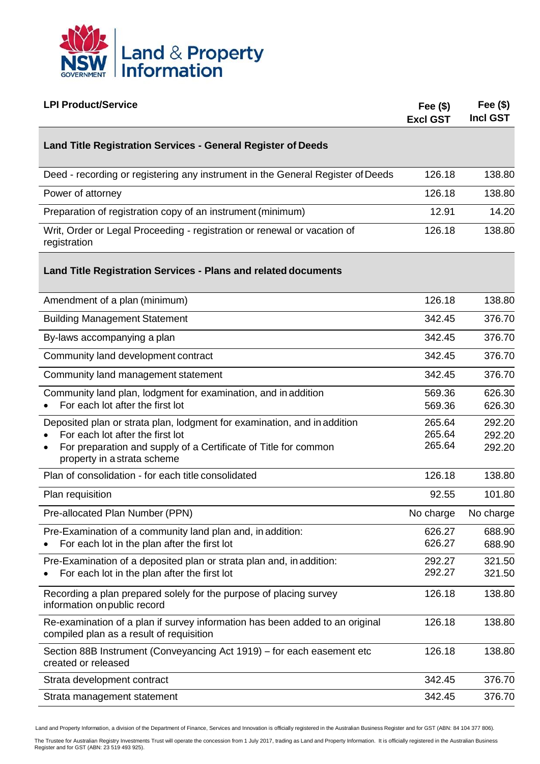

| <b>LPI Product/Service</b>                                                                                                                                                                                                  | Fee $(\$)$<br><b>Excl GST</b> | Fee $(\$)$<br><b>Incl GST</b> |
|-----------------------------------------------------------------------------------------------------------------------------------------------------------------------------------------------------------------------------|-------------------------------|-------------------------------|
| <b>Land Title Registration Services - General Register of Deeds</b>                                                                                                                                                         |                               |                               |
| Deed - recording or registering any instrument in the General Register of Deeds                                                                                                                                             | 126.18                        | 138.80                        |
| Power of attorney                                                                                                                                                                                                           | 126.18                        | 138.80                        |
| Preparation of registration copy of an instrument (minimum)                                                                                                                                                                 | 12.91                         | 14.20                         |
| Writ, Order or Legal Proceeding - registration or renewal or vacation of<br>registration                                                                                                                                    | 126.18                        | 138.80                        |
| <b>Land Title Registration Services - Plans and related documents</b>                                                                                                                                                       |                               |                               |
| Amendment of a plan (minimum)                                                                                                                                                                                               | 126.18                        | 138.80                        |
| <b>Building Management Statement</b>                                                                                                                                                                                        | 342.45                        | 376.70                        |
| By-laws accompanying a plan                                                                                                                                                                                                 | 342.45                        | 376.70                        |
| Community land development contract                                                                                                                                                                                         | 342.45                        | 376.70                        |
| Community land management statement                                                                                                                                                                                         | 342.45                        | 376.70                        |
| Community land plan, lodgment for examination, and in addition<br>For each lot after the first lot                                                                                                                          | 569.36<br>569.36              | 626.30<br>626.30              |
| Deposited plan or strata plan, lodgment for examination, and in addition<br>For each lot after the first lot<br>For preparation and supply of a Certificate of Title for common<br>$\bullet$<br>property in a strata scheme | 265.64<br>265.64<br>265.64    | 292.20<br>292.20<br>292.20    |
| Plan of consolidation - for each title consolidated                                                                                                                                                                         | 126.18                        | 138.80                        |
| Plan requisition                                                                                                                                                                                                            | 92.55                         | 101.80                        |
| Pre-allocated Plan Number (PPN)                                                                                                                                                                                             | No charge                     | No charge                     |
| Pre-Examination of a community land plan and, in addition:<br>For each lot in the plan after the first lot                                                                                                                  | 626.27<br>626.27              | 688.90<br>688.90              |
| Pre-Examination of a deposited plan or strata plan and, in addition:<br>For each lot in the plan after the first lot                                                                                                        | 292.27<br>292.27              | 321.50<br>321.50              |
| Recording a plan prepared solely for the purpose of placing survey<br>information on public record                                                                                                                          | 126.18                        | 138.80                        |
| Re-examination of a plan if survey information has been added to an original<br>compiled plan as a result of requisition                                                                                                    | 126.18                        | 138.80                        |
| Section 88B Instrument (Conveyancing Act 1919) – for each easement etc<br>created or released                                                                                                                               | 126.18                        | 138.80                        |
| Strata development contract                                                                                                                                                                                                 | 342.45                        | 376.70                        |
| Strata management statement                                                                                                                                                                                                 | 342.45                        | 376.70                        |

The Trustee for Australian Registry Investments Trust will operate the concession from 1 July 2017, trading as Land and Property Information. It is officially registered in the Australian Business<br>Register and for GST (ABN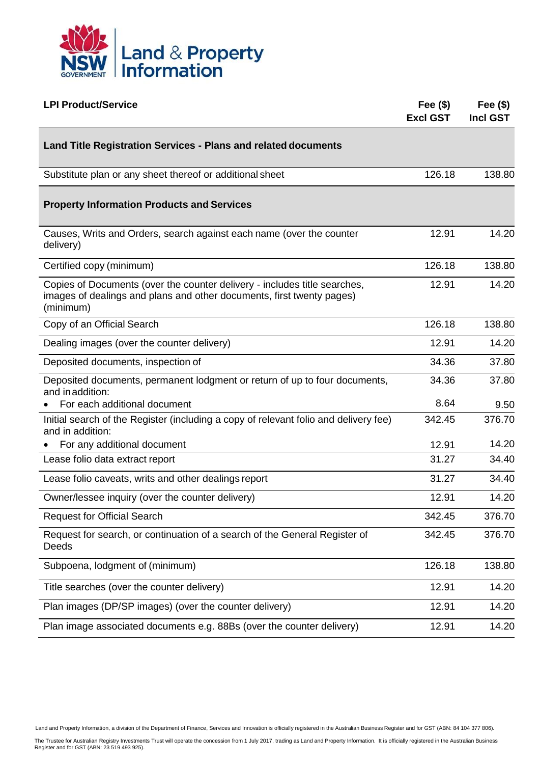

| <b>LPI Product/Service</b>                                                                                                                                      | Fee $(\$)$<br><b>Excl GST</b> | Fee $(\$)$<br><b>Incl GST</b> |
|-----------------------------------------------------------------------------------------------------------------------------------------------------------------|-------------------------------|-------------------------------|
| <b>Land Title Registration Services - Plans and related documents</b>                                                                                           |                               |                               |
| Substitute plan or any sheet thereof or additional sheet                                                                                                        | 126.18                        | 138.80                        |
| <b>Property Information Products and Services</b>                                                                                                               |                               |                               |
| Causes, Writs and Orders, search against each name (over the counter<br>delivery)                                                                               | 12.91                         | 14.20                         |
| Certified copy (minimum)                                                                                                                                        | 126.18                        | 138.80                        |
| Copies of Documents (over the counter delivery - includes title searches,<br>images of dealings and plans and other documents, first twenty pages)<br>(minimum) | 12.91                         | 14.20                         |
| Copy of an Official Search                                                                                                                                      | 126.18                        | 138.80                        |
| Dealing images (over the counter delivery)                                                                                                                      | 12.91                         | 14.20                         |
| Deposited documents, inspection of                                                                                                                              | 34.36                         | 37.80                         |
| Deposited documents, permanent lodgment or return of up to four documents,<br>and in addition:                                                                  | 34.36                         | 37.80                         |
| For each additional document                                                                                                                                    | 8.64                          | 9.50                          |
| Initial search of the Register (including a copy of relevant folio and delivery fee)<br>and in addition:                                                        | 342.45                        | 376.70                        |
| For any additional document                                                                                                                                     | 12.91                         | 14.20                         |
| Lease folio data extract report                                                                                                                                 | 31.27                         | 34.40                         |
| Lease folio caveats, writs and other dealings report                                                                                                            | 31.27                         | 34.40                         |
| Owner/lessee inquiry (over the counter delivery)                                                                                                                | 12.91                         | 14.20                         |
| <b>Request for Official Search</b>                                                                                                                              | 342.45                        | 376.70                        |
| Request for search, or continuation of a search of the General Register of<br>Deeds                                                                             | 342.45                        | 376.70                        |
| Subpoena, lodgment of (minimum)                                                                                                                                 | 126.18                        | 138.80                        |
| Title searches (over the counter delivery)                                                                                                                      | 12.91                         | 14.20                         |
| Plan images (DP/SP images) (over the counter delivery)                                                                                                          | 12.91                         | 14.20                         |
| Plan image associated documents e.g. 88Bs (over the counter delivery)                                                                                           | 12.91                         | 14.20                         |